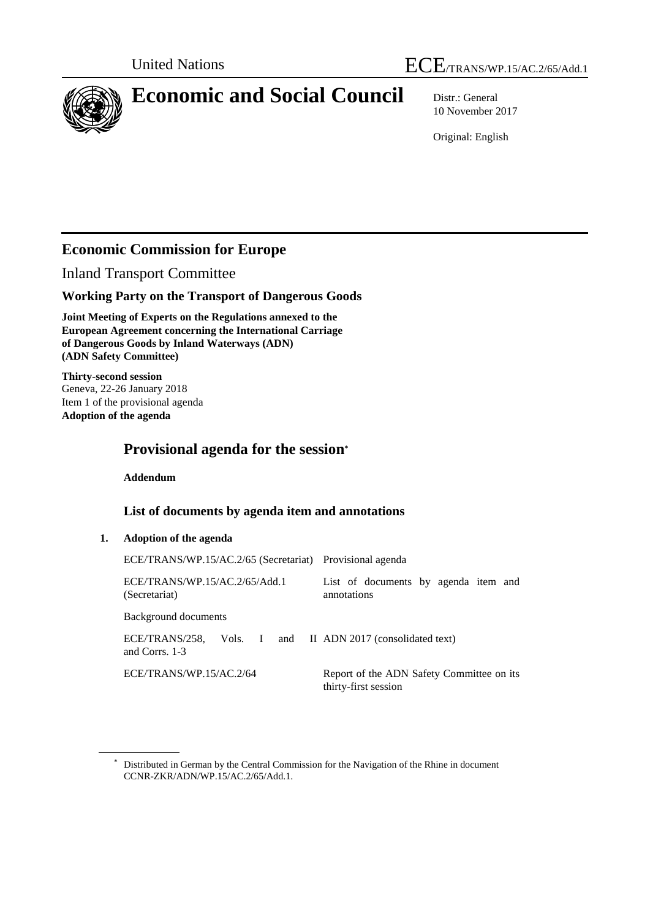



# **Economic and Social Council** Distr.: General

10 November 2017

Original: English

# **Economic Commission for Europe**

Inland Transport Committee

## **Working Party on the Transport of Dangerous Goods**

**Joint Meeting of Experts on the Regulations annexed to the European Agreement concerning the International Carriage of Dangerous Goods by Inland Waterways (ADN) (ADN Safety Committee)**

**Thirty-second session** Geneva, 22-26 January 2018 Item 1 of the provisional agenda **Adoption of the agenda**

# **Provisional agenda for the session\***

**Addendum**

### **List of documents by agenda item and annotations**

### **1. Adoption of the agenda**

| ECE/TRANS/WP.15/AC.2/65 (Secretariat) Provisional agenda |                                                                   |
|----------------------------------------------------------|-------------------------------------------------------------------|
| ECE/TRANS/WP.15/AC.2/65/Add.1<br>(Secretariat)           | List of documents by agenda item and<br>annotations               |
| Background documents                                     |                                                                   |
| ECE/TRANS/258.<br>Vols. I<br>and Corrs. 1-3              | and II ADN 2017 (consolidated text)                               |
| ECE/TRANS/WP.15/AC.2/64                                  | Report of the ADN Safety Committee on its<br>thirty-first session |

<sup>\*</sup> Distributed in German by the Central Commission for the Navigation of the Rhine in document CCNR-ZKR/ADN/WP.15/AC.2/65/Add.1.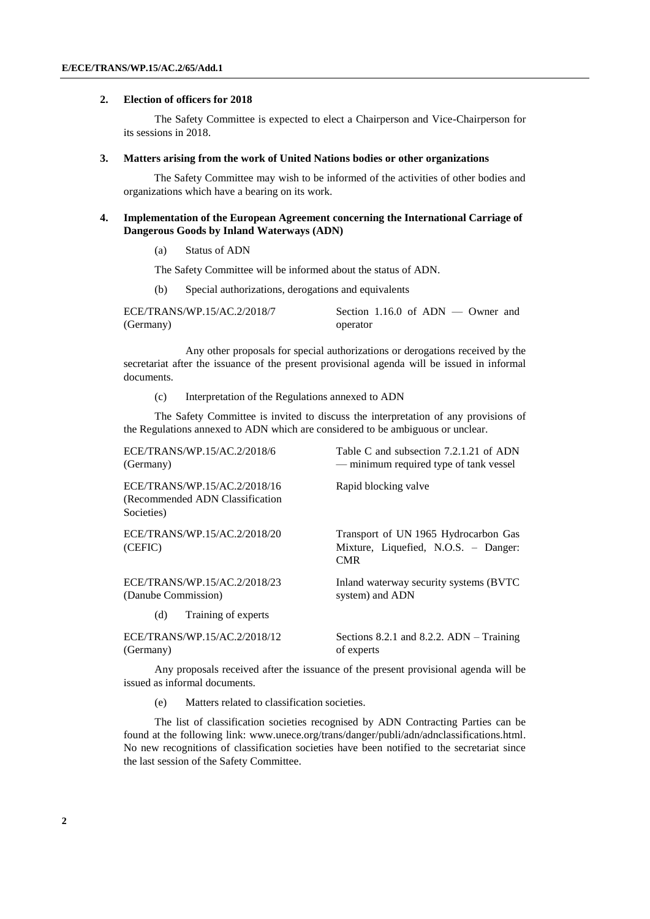#### **2. Election of officers for 2018**

The Safety Committee is expected to elect a Chairperson and Vice-Chairperson for its sessions in 2018.

#### **3. Matters arising from the work of United Nations bodies or other organizations**

The Safety Committee may wish to be informed of the activities of other bodies and organizations which have a bearing on its work.

#### **4. Implementation of the European Agreement concerning the International Carriage of Dangerous Goods by Inland Waterways (ADN)**

(a) Status of ADN

The Safety Committee will be informed about the status of ADN.

(b) Special authorizations, derogations and equivalents

| ECE/TRANS/WP.15/AC.2/2018/7 | Section 1.16.0 of $ADN -$ Owner and |
|-----------------------------|-------------------------------------|
| (Germany)                   | operator                            |

Any other proposals for special authorizations or derogations received by the secretariat after the issuance of the present provisional agenda will be issued in informal documents.

(c) Interpretation of the Regulations annexed to ADN

The Safety Committee is invited to discuss the interpretation of any provisions of the Regulations annexed to ADN which are considered to be ambiguous or unclear.

| ECE/TRANS/WP.15/AC.2/2018/6                                                    | Table C and subsection 7.2.1.21 of ADN                                                     |
|--------------------------------------------------------------------------------|--------------------------------------------------------------------------------------------|
| (Germany)                                                                      | — minimum required type of tank vessel                                                     |
| ECE/TRANS/WP.15/AC.2/2018/16<br>(Recommended ADN Classification)<br>Societies) | Rapid blocking valve                                                                       |
| ECE/TRANS/WP.15/AC.2/2018/20<br>(CEFIC)                                        | Transport of UN 1965 Hydrocarbon Gas<br>Mixture, Liquefied, N.O.S. – Danger:<br><b>CMR</b> |
| ECE/TRANS/WP.15/AC.2/2018/23                                                   | Inland waterway security systems (BVTC)                                                    |
| (Danube Commission)                                                            | system) and ADN                                                                            |
| (d)<br>Training of experts                                                     |                                                                                            |
| ECE/TRANS/WP.15/AC.2/2018/12                                                   | Sections 8.2.1 and 8.2.2. $ADN - Training$                                                 |
| (Germany)                                                                      | of experts                                                                                 |

Any proposals received after the issuance of the present provisional agenda will be issued as informal documents.

(e) Matters related to classification societies.

The list of classification societies recognised by ADN Contracting Parties can be found at the following link: www.unece.org/trans/danger/publi/adn/adnclassifications.html. No new recognitions of classification societies have been notified to the secretariat since the last session of the Safety Committee.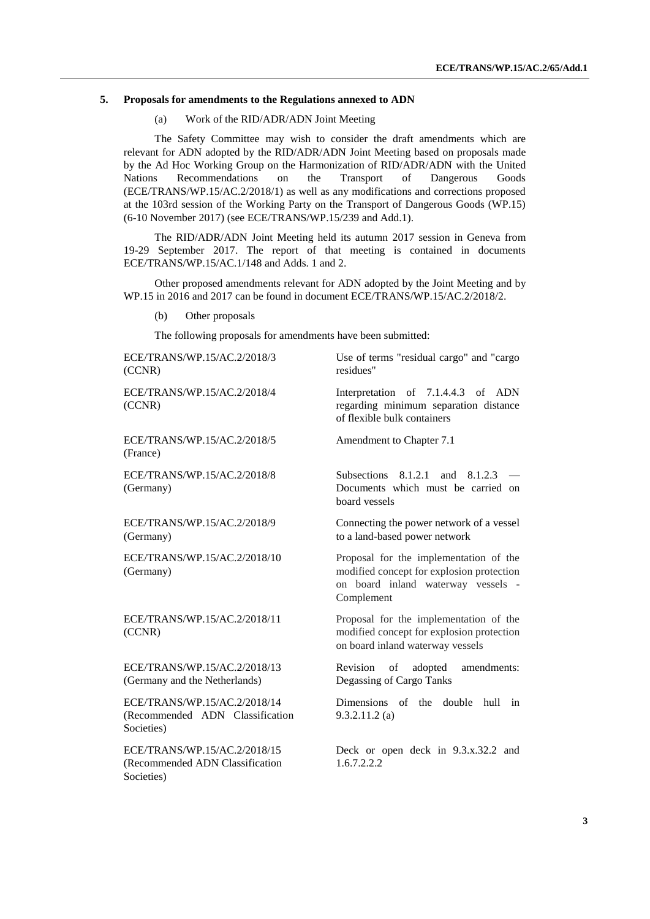#### **5. Proposals for amendments to the Regulations annexed to ADN**

(a) Work of the RID/ADR/ADN Joint Meeting

The Safety Committee may wish to consider the draft amendments which are relevant for ADN adopted by the RID/ADR/ADN Joint Meeting based on proposals made by the Ad Hoc Working Group on the Harmonization of RID/ADR/ADN with the United Nations Recommendations on the Transport of Dangerous Goods (ECE/TRANS/WP.15/AC.2/2018/1) as well as any modifications and corrections proposed at the 103rd session of the Working Party on the Transport of Dangerous Goods (WP.15) (6-10 November 2017) (see ECE/TRANS/WP.15/239 and Add.1).

The RID/ADR/ADN Joint Meeting held its autumn 2017 session in Geneva from 19-29 September 2017. The report of that meeting is contained in documents ECE/TRANS/WP.15/AC.1/148 and Adds. 1 and 2.

Other proposed amendments relevant for ADN adopted by the Joint Meeting and by WP.15 in 2016 and 2017 can be found in document ECE/TRANS/WP.15/AC.2/2018/2.

(b) Other proposals

The following proposals for amendments have been submitted:

| ECE/TRANS/WP.15/AC.2/2018/3<br>(CCNR)                                         | Use of terms "residual cargo" and "cargo<br>residues"                                                                                   |
|-------------------------------------------------------------------------------|-----------------------------------------------------------------------------------------------------------------------------------------|
| ECE/TRANS/WP.15/AC.2/2018/4<br>(CCNR)                                         | Interpretation of 7.1.4.4.3 of ADN<br>regarding minimum separation distance<br>of flexible bulk containers                              |
| ECE/TRANS/WP.15/AC.2/2018/5<br>(France)                                       | Amendment to Chapter 7.1                                                                                                                |
| ECE/TRANS/WP.15/AC.2/2018/8<br>(Germany)                                      | <b>Subsections</b><br>8.1.2.1<br>and<br>8.1.2.3<br>Documents which must be carried on<br>board vessels                                  |
| ECE/TRANS/WP.15/AC.2/2018/9<br>(Germany)                                      | Connecting the power network of a vessel<br>to a land-based power network                                                               |
| ECE/TRANS/WP.15/AC.2/2018/10<br>(Germany)                                     | Proposal for the implementation of the<br>modified concept for explosion protection<br>on board inland waterway vessels -<br>Complement |
| ECE/TRANS/WP.15/AC.2/2018/11<br>(CCNR)                                        | Proposal for the implementation of the<br>modified concept for explosion protection<br>on board inland waterway vessels                 |
| ECE/TRANS/WP.15/AC.2/2018/13<br>(Germany and the Netherlands)                 | Revision<br>adopted<br>of<br>amendments:<br>Degassing of Cargo Tanks                                                                    |
| ECE/TRANS/WP.15/AC.2/2018/14<br>(Recommended ADN Classification<br>Societies) | Dimensions of the<br>double<br>hull<br>in<br>$9.3.2.11.2$ (a)                                                                           |
| ECE/TRANS/WP.15/AC.2/2018/15<br>(Recommended ADN Classification<br>Societies) | Deck or open deck in 9.3.x.32.2 and<br>1.6.7.2.2.2                                                                                      |
|                                                                               |                                                                                                                                         |